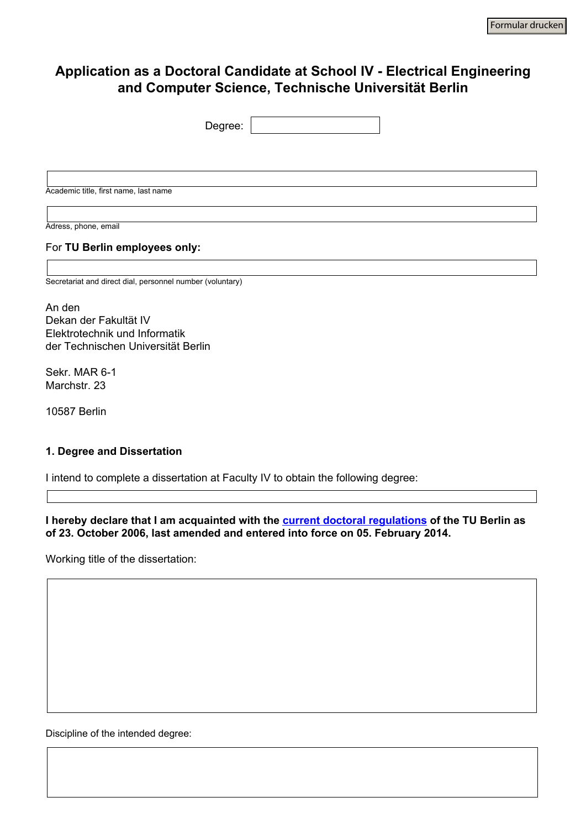# **Application as a Doctoral Candidate at School IV - Electrical Engineering and Computer Science, Technische Universität Berlin**

| Degree:                                                   | $\blacktriangledown$ |
|-----------------------------------------------------------|----------------------|
|                                                           |                      |
|                                                           |                      |
|                                                           |                      |
| Academic title, first name, last name                     |                      |
|                                                           |                      |
| Adress, phone, email                                      |                      |
| For TU Berlin employees only:                             |                      |
|                                                           |                      |
| Secretariat and direct dial, personnel number (voluntary) |                      |
|                                                           |                      |
| An den                                                    |                      |
| Dekan der Fakultät IV                                     |                      |
| Elektrotechnik und Informatik                             |                      |
| der Technischen Universität Berlin                        |                      |
| Sekr. MAR 6-1                                             |                      |

Marchstr. 23

10587 Berlin

### **1. Degree and Dissertation**

I intend to complete a dissertation at Faculty IV to obtain the following degree:

 $\overline{\mathbf{r}}$ 

**I hereby declare that I am acquainted with the [current doctoral regulations](http://www.tudoc.tu-berlin.de/menue/promotionsphase/rechtliches/promotionsordnung/parameter/en/) of the TU Berlin as of 23. October 2006, last amended and entered into force on 05. February 2014.** 

Working title of the dissertation:

Discipline of the intended degree: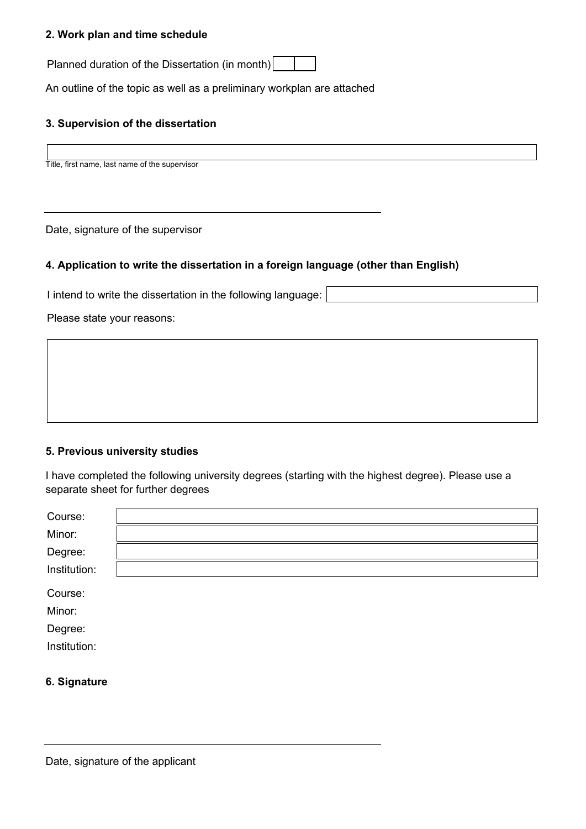#### **2. Work plan and time schedule**

Planned duration of the Dissertation (in month)

An outline of the topic as well as a preliminary workplan are attached

# **3. Supervision of the dissertation**

Title, first name, last name of the supervisor

Date, signature of the supervisor

### **4. Application to write the dissertation in a foreign language (other than English)**

I intend to write the dissertation in the following language:

Please state your reasons:

#### **5. Previous university studies**

I have completed the following university degrees (starting with the highest degree). Please use a separate sheet for further degrees

| Course:      |  |
|--------------|--|
| Minor:       |  |
| Degree:      |  |
| Institution: |  |
| Course:      |  |
| Minor:       |  |
| Degree:      |  |
| Institution: |  |
|              |  |

#### **6. Signature**